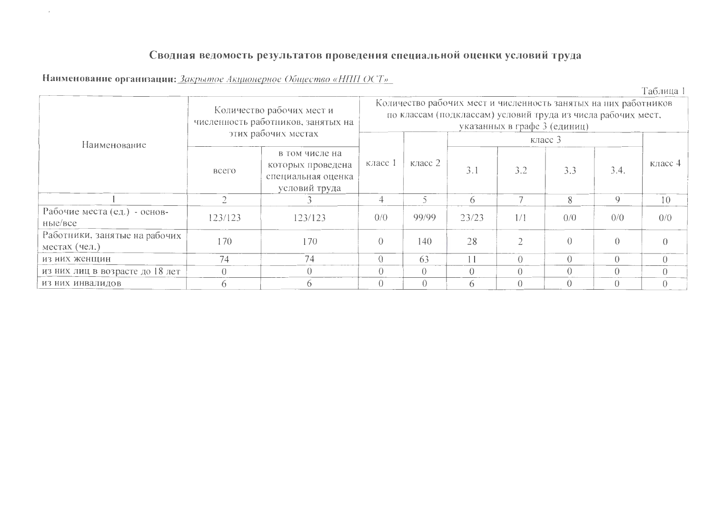## Сводная ведомость результатов проведения специальной оценки условий труда

Наименование организации: Закрытое Акционерное Общество «НПП ОСТ»

 $\alpha$ 

Таблица 1

|                                                |         | Количество рабочих мест и<br>численность работников, занятых на<br>этих рабочих местах |            |                          | Количество рабочих мест и численность занятых на них работников<br>по классам (подклассам) условий труда из числа рабочих мест, | указанных в графе 3 (единиц) | класс $3$ |                  |                |
|------------------------------------------------|---------|----------------------------------------------------------------------------------------|------------|--------------------------|---------------------------------------------------------------------------------------------------------------------------------|------------------------------|-----------|------------------|----------------|
| Наименование                                   | всего   | в том числе на<br>которых проведена<br>специальная оценка<br>условий труда             | класс 1    | класс 2                  | 3.1                                                                                                                             | 3.2                          | 3.3       | 3.4.             | класс 4        |
|                                                |         |                                                                                        | 4          | $\overline{\phantom{0}}$ | 6                                                                                                                               |                              | 8         | $\mathbf Q$      | 10             |
| Рабочие места (ед.) - основ-<br>ные/все        | 123/123 | 123/123                                                                                | 0/0        | 99/99                    | 23/23                                                                                                                           | 1/1                          | 0/0       | 0/0              | 0/0            |
| Работники, занятые на рабочих<br>местах (чел.) | 170     | 170                                                                                    | $\theta$   | 140                      | 28                                                                                                                              |                              | $\Omega$  | $\left( \right)$ |                |
| из них женщин                                  | 74      | 74                                                                                     | $\bigcirc$ | 63                       | 11                                                                                                                              | $\Omega$                     | $\Omega$  | $\bigcap$        | $\Omega$       |
| из них лиц в возрасте до 18 лет                |         | $\left( \right)$                                                                       | $\theta$   | $\theta$                 | $\Omega$                                                                                                                        | $\left( \right)$             | $\theta$  |                  | $\overline{0}$ |
| ИЗ НИХ ИНВАЛИДОВ                               |         |                                                                                        | $\bigcirc$ | $\Omega$                 | 6                                                                                                                               | $\Omega$                     | $\Omega$  |                  | $\Omega$       |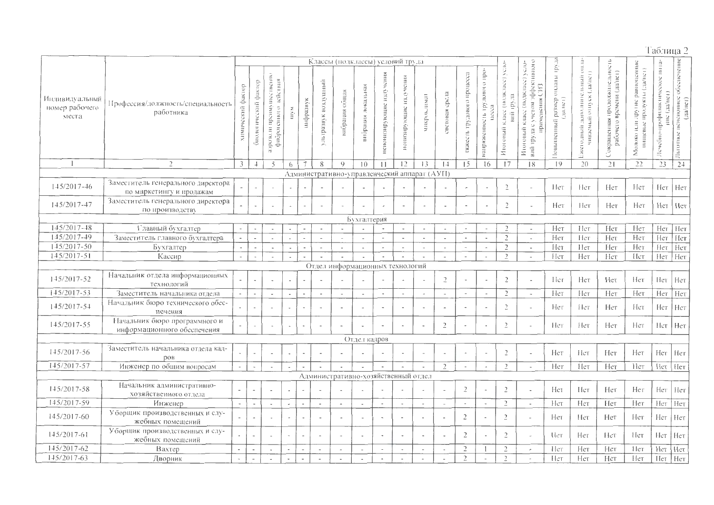## Таблица 2

|                                           |                                                                | Классы (подклассы) условий труда |                          |                                                             |                          |                          |                          |                          |                                     |                             |                          | 011.1a                                       |                          |                            |                                       |                                                                |                                                                                        |                                                 |                                                         |                                                                   |                                                                     |                                                 |                                                      |
|-------------------------------------------|----------------------------------------------------------------|----------------------------------|--------------------------|-------------------------------------------------------------|--------------------------|--------------------------|--------------------------|--------------------------|-------------------------------------|-----------------------------|--------------------------|----------------------------------------------|--------------------------|----------------------------|---------------------------------------|----------------------------------------------------------------|----------------------------------------------------------------------------------------|-------------------------------------------------|---------------------------------------------------------|-------------------------------------------------------------------|---------------------------------------------------------------------|-------------------------------------------------|------------------------------------------------------|
| Индивидуальный<br>номер рабочего<br>места | Профессия/должность/специальность<br>работника                 | химический фактор                | биологический фактор     | арозоли препмуниественно<br><b>кійствия</b><br>фиброгенного | шум                      | инфразвук                | ультразвук воздушный     | вибрация общая           | вибрация локальная                  | киновател<br>цепонизирующие | ионизирующие издечения   | микроклимат                                  | epezia<br>световая       | вэжесть трудового процесса | напряженность трудового про-<br>necea | K.Iace (mojaciace) year-<br>raristal<br><b>BHF</b><br>Итоговый | о конянтярфес мотову с визды, йня<br>Итоговый класс (подкласс) усло-<br>применения СИЗ | оплаты труда<br>(J(a, he))<br>Іовышенный размер | чиваемый отнуск (да/нег)<br>доподнительный<br>Ежегодный | Сокращенная продолжительность<br>-<br>- рабочего времени (да/нет) | равноценные<br>(гэндэг) нгийгоdн<br>эте дал не<br>ницевые<br>Молоко | Лечебно-профилактическое пита-<br>$\frac{1}{2}$ | обеспечение<br>пенсионное ()<br>(да/нет)<br>Льготное |
|                                           | $\overline{2}$                                                 | 3                                | $\overline{1}$           | 5                                                           | 6                        | $\overline{7}$           | 8                        | Q                        | 10                                  | $\mathbf{1}$                | 12                       | 13                                           | 1                        | 15                         | 16                                    | 17                                                             | 18                                                                                     | 19                                              | 20                                                      | 21                                                                | 22                                                                  | 23                                              | 24                                                   |
|                                           |                                                                |                                  |                          |                                                             |                          |                          |                          |                          |                                     |                             |                          | Административно-управленческий аппарат (AУП) |                          |                            |                                       |                                                                |                                                                                        |                                                 |                                                         |                                                                   |                                                                     |                                                 |                                                      |
| $145/2017 - 46$                           | Заместитель генерального директора<br>по маркетингу и продажам |                                  | $\overline{\phantom{a}}$ |                                                             | $\overline{\phantom{a}}$ |                          |                          |                          |                                     |                             |                          |                                              |                          |                            | $\overline{\phantom{a}}$              | $\overline{2}$                                                 | ÷.                                                                                     | Her                                             | Нет                                                     | Нет                                                               | Her                                                                 | Нет                                             | Her                                                  |
| 145/2017-47                               | Заместитель генерального директора<br>по производству          | $\overline{\phantom{a}}$         | $\overline{a}$           |                                                             | $\hat{\phantom{a}}$      | $\sim$                   |                          |                          |                                     |                             |                          | $\blacksquare$                               | $\overline{\phantom{a}}$ |                            | $\overline{\phantom{a}}$              | $\overline{2}$                                                 | $\overline{\phantom{a}}$                                                               | Нет                                             | Нeт                                                     | Her                                                               | Her                                                                 | Нет                                             | Her                                                  |
|                                           |                                                                |                                  |                          |                                                             |                          |                          |                          |                          | Бухгалтерия                         |                             |                          |                                              |                          |                            |                                       |                                                                |                                                                                        |                                                 |                                                         |                                                                   |                                                                     |                                                 |                                                      |
| 145/2017-48                               | Главный бухгалтер                                              | $\overline{\phantom{a}}$         |                          |                                                             |                          |                          | $\overline{\phantom{a}}$ |                          | $\tilde{\phantom{a}}$               |                             | $\overline{\phantom{a}}$ | $\overline{\phantom{a}}$                     | $\overline{\phantom{a}}$ | $\overline{\phantom{a}}$   | $\overline{\phantom{a}}$              | $\overline{\phantom{a}}$                                       | $\tilde{\phantom{a}}$                                                                  | Нет                                             | Her                                                     | Нет                                                               | Нет                                                                 | Нет                                             | Her                                                  |
| 145/2017-49                               | Заместитель главного бухгалтера                                | $\overline{a}$                   | $\overline{a}$           |                                                             |                          |                          | $\overline{\phantom{a}}$ |                          | $\overline{\phantom{a}}$            |                             | $\overline{\phantom{a}}$ | $\overline{\phantom{a}}$                     | $\overline{\phantom{a}}$ | $\overline{\phantom{0}}$   | $\overline{\phantom{a}}$              | $\overline{2}$                                                 | $\bar{\phantom{a}}$                                                                    | Нет                                             | Нет                                                     | Нет                                                               | Нет                                                                 | Нет                                             | Her                                                  |
| $145/2017 - 50$                           | Бухгалтер                                                      | $\omega$                         | $\overline{\phantom{a}}$ | $\blacksquare$                                              | $\overline{\phantom{a}}$ | $\sim$                   | $\sim$                   | $\sim$                   | $\sim$                              | $\sim$                      |                          | $\overline{\phantom{a}}$                     | $\sim$                   | $\sim$                     | $\sim$                                | $\overline{2}$                                                 | $\overline{\phantom{a}}$                                                               | Her                                             | Her                                                     | Her                                                               | Нет                                                                 | Нет                                             | Нет                                                  |
| $145/2017 - 51$                           | Кассир                                                         | $\omega$                         |                          | $\overline{\phantom{a}}$                                    |                          |                          |                          |                          | $\mathcal{L}$                       |                             |                          | $\overline{\phantom{a}}$                     | $\Delta$                 | $\sim$                     | $\sim$                                | $\overline{2}$                                                 | $\overline{\phantom{a}}$                                                               | Нет                                             | Her                                                     | Her                                                               | Her                                                                 | Нет                                             | Нет                                                  |
|                                           |                                                                |                                  |                          |                                                             |                          |                          |                          |                          | Отдел информационных технологий     |                             |                          |                                              |                          |                            |                                       |                                                                |                                                                                        |                                                 |                                                         |                                                                   |                                                                     |                                                 |                                                      |
| 145/2017-52                               | Начальник отдела информационных<br>технологий                  |                                  | $\overline{\phantom{a}}$ |                                                             | $\overline{\phantom{a}}$ |                          |                          |                          |                                     |                             |                          | $\overline{\phantom{a}}$                     | $\overline{c}$           |                            |                                       | $\overline{2}$                                                 | $\overline{a}$                                                                         | Нег                                             | Нет                                                     | Her                                                               | Her                                                                 | Her                                             | Нет                                                  |
| 145/2017-53                               | Заместитель начальника отдела                                  | $\bar{\mathcal{A}}$              | $\sim$                   | $\sim$                                                      | ÷.                       | $\sim$                   | $\overline{\phantom{a}}$ | $\sim$                   | $\mathcal{L}$                       | $\sim$                      | $\sim$                   | $\blacksquare$                               | $\overline{\phantom{a}}$ | $\blacksquare$             | $\sim$                                | $\overline{2}$                                                 | $\overline{a}$                                                                         | Нет                                             | Нет                                                     | Нет                                                               | Нет                                                                 | Her                                             | Her                                                  |
| $145/2017 - 54$                           | Начальник бюро технического обес-<br>печения                   |                                  | $\overline{a}$           |                                                             | $\overline{\phantom{a}}$ |                          | $\overline{\phantom{a}}$ |                          | $\sim$                              |                             |                          | $\overline{a}$                               |                          |                            |                                       | $\overline{c}$                                                 | $\overline{a}$                                                                         | Her                                             | Her                                                     | Her                                                               | Her                                                                 | Нет                                             | Нет                                                  |
| 145/2017-55                               | Начальник бюро программного и<br>информационного обеспечения   |                                  | $\overline{\phantom{a}}$ |                                                             | $\overline{\phantom{a}}$ | $\tilde{\phantom{a}}$    | $\overline{\phantom{a}}$ |                          | $\overline{\phantom{a}}$            |                             |                          | $\overline{a}$                               | $\overline{2}$           | $\sim$                     | $\sim$                                | $\overline{2}$                                                 | ÷,                                                                                     | Her                                             | Her                                                     | Нет                                                               | Нет                                                                 | Het                                             | Her                                                  |
|                                           |                                                                |                                  |                          |                                                             |                          |                          |                          |                          | Отдел кадров                        |                             |                          |                                              |                          |                            |                                       |                                                                |                                                                                        |                                                 |                                                         |                                                                   |                                                                     |                                                 |                                                      |
| $145/2017-56$                             | Заместитель начальника отдела кад-<br>poB                      |                                  | $\overline{\phantom{a}}$ |                                                             | $\overline{\phantom{a}}$ | $\overline{\phantom{a}}$ | $\tilde{\phantom{a}}$    |                          | $\overline{\phantom{a}}$            |                             |                          | $\overline{\phantom{a}}$                     |                          | $\overline{a}$             |                                       | $\overline{2}$                                                 | $\overline{a}$                                                                         | Нет                                             | Нет                                                     | Her                                                               | Нет                                                                 | Her                                             | Нет                                                  |
| $145/2017-57$                             | Инженер по общим вопросам                                      | $\overline{\phantom{a}}$         |                          |                                                             |                          |                          |                          |                          |                                     |                             |                          |                                              | $\overline{2}$           | $\sim$                     | $\sim$                                | $\overline{\phantom{a}}$                                       | ÷,                                                                                     | Her                                             | Hет                                                     | Нет                                                               | Her                                                                 | Her                                             | Her                                                  |
|                                           |                                                                |                                  |                          |                                                             |                          |                          |                          |                          | Административно-хозяйственный отдел |                             |                          |                                              |                          |                            |                                       |                                                                |                                                                                        |                                                 |                                                         |                                                                   |                                                                     |                                                 |                                                      |
| 145/2017-58                               | Начальник административно-<br>хозяйственного отдела            | $\overline{a}$                   | $\blacksquare$           |                                                             | $\sim$                   | J.                       |                          |                          | $\tilde{\phantom{a}}$               |                             |                          | $\blacksquare$                               |                          | $\overline{2}$             | $\overline{\phantom{a}}$              | $\overline{2}$                                                 |                                                                                        | Het                                             | Het                                                     | Нет                                                               | Her                                                                 | Нет                                             | Her                                                  |
| 145/2017-59                               | Инженер                                                        | $\overline{\phantom{a}}$         |                          | $\overline{\phantom{a}}$                                    | $\sim$                   | $\overline{\phantom{a}}$ | $\overline{\phantom{a}}$ | $\overline{\phantom{a}}$ | $\overline{\phantom{a}}$            | $\overline{\phantom{a}}$    | $\sim$                   | $\overline{\phantom{a}}$                     | $\overline{\phantom{a}}$ | $\overline{\phantom{a}}$   | $\tilde{\phantom{a}}$                 | $\overline{2}$                                                 | $\sim$                                                                                 | Her                                             | Нет                                                     | Hет                                                               | Нет                                                                 | Нeт                                             | Нет                                                  |
| 145/2017-60                               | Уборщик производственных и слу-<br>жебных помещений            |                                  | $\sim$                   |                                                             | $\sim$                   | $\overline{\phantom{a}}$ | $\sim$                   |                          | $\bar{a}$                           | $\overline{a}$              |                          | $\sim$                                       |                          | $\overline{c}$             | $\overline{\phantom{a}}$              | $\overline{2}$                                                 | L,                                                                                     | Her                                             | Нет                                                     | Hет                                                               | Her                                                                 | Нет                                             | Her                                                  |
| 145/2017-61                               | Уборщик производственных и слу-<br>жебных помещений            |                                  | $\overline{\phantom{a}}$ |                                                             |                          | $\overline{\phantom{a}}$ | $\overline{\phantom{a}}$ | $\tilde{\phantom{a}}$    | $\overline{\phantom{a}}$            | $\overline{a}$              |                          | $\overline{\phantom{a}}$                     |                          | $\overline{2}$             | $\sim$                                | $\overline{c}$                                                 | L.                                                                                     | Пeт                                             | Her                                                     | Het                                                               | Hет                                                                 | Het                                             | He <sub>T</sub>                                      |
| $14\overline{5}/\overline{2017} - 62$     | Вахтер                                                         | $\overline{\phantom{a}}$         |                          | $\tilde{\phantom{a}}$                                       |                          |                          | $\sim$                   |                          | $\overline{\phantom{a}}$            |                             |                          | $\overline{\phantom{a}}$                     |                          | $\overline{2}$             | $\mathbf{1}$                          | $\overline{c}$                                                 | $\tilde{\phantom{a}}$                                                                  | Her                                             | Нет                                                     | Нет                                                               | Her                                                                 | Her                                             | Her                                                  |
| $145/2017-63$                             | Дворник                                                        | $\sim$                           | $\sim$                   |                                                             |                          | $\overline{a}$           | $\sim$                   |                          | $\overline{a}$                      | $\ddot{\phantom{a}}$        | $\sim$                   | $\overline{a}$                               |                          | $\overline{2}$             |                                       | $\gamma$                                                       | ٠                                                                                      | Her                                             | Her                                                     | Her                                                               | Hет                                                                 | Нет                                             | Нет                                                  |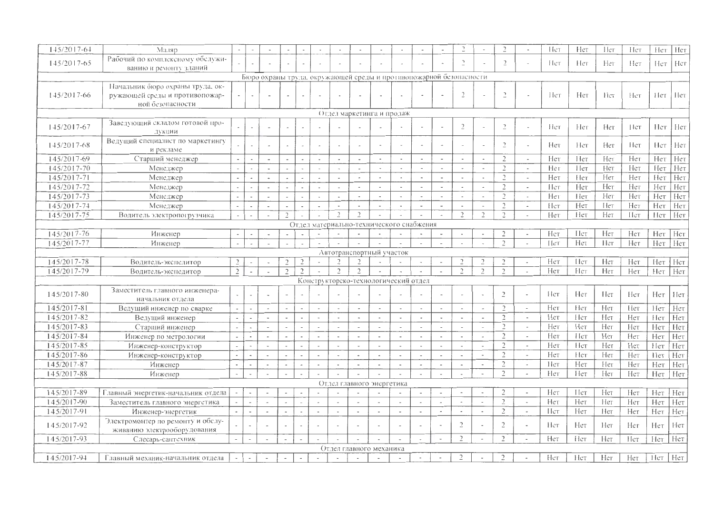| 145/2017-64                | Маляр                              |                          |                          |                          |                          |                          |                          |                          |                          |                                                                    |                          |                          |                          | $\rightarrow$            |                          | $\mathcal{D}$            | $\overline{\phantom{a}}$ | c          | Het    | Нeт | Her  | Her | Her  |
|----------------------------|------------------------------------|--------------------------|--------------------------|--------------------------|--------------------------|--------------------------|--------------------------|--------------------------|--------------------------|--------------------------------------------------------------------|--------------------------|--------------------------|--------------------------|--------------------------|--------------------------|--------------------------|--------------------------|------------|--------|-----|------|-----|------|
| 145/2017-65                | Рабочий по комплексному обслужи-   |                          |                          |                          |                          |                          |                          |                          |                          |                                                                    |                          | $\overline{\phantom{a}}$ |                          | $\tilde{ }$              | $\overline{\phantom{a}}$ | $\overline{2}$           |                          | Het        | Het    | Her | Her  | Her | Нет  |
|                            | ванию и ремонту зданий             |                          |                          |                          |                          |                          |                          |                          |                          |                                                                    |                          |                          |                          |                          |                          |                          |                          |            |        |     |      |     |      |
|                            |                                    |                          |                          |                          |                          |                          |                          |                          |                          | Бюро охраны труда, окружающей среды и противопожарной безопасности |                          |                          |                          |                          |                          |                          |                          |            |        |     |      |     |      |
|                            | Начальник бюро охраны труда, ок-   |                          |                          |                          |                          |                          |                          |                          |                          |                                                                    |                          |                          |                          |                          |                          |                          |                          |            |        |     |      |     |      |
| 145/2017-66                | ружающей среды и противопожар-     |                          |                          |                          |                          |                          |                          |                          |                          |                                                                    |                          |                          |                          | $\overline{2}$           |                          | $\overline{a}$           | $\sim$                   | Нeт        | Her    | Her | Нет  | Her | -Het |
|                            | ной безопасности                   |                          |                          |                          |                          |                          |                          |                          |                          |                                                                    |                          |                          |                          |                          |                          |                          |                          |            |        |     |      |     |      |
|                            |                                    |                          |                          |                          |                          |                          |                          |                          |                          | Отдел маркетинга и продаж                                          |                          |                          |                          |                          |                          |                          |                          |            |        |     |      |     |      |
| $145/2017-67$              | Заведующий складом готовой про-    |                          |                          |                          |                          |                          |                          |                          |                          |                                                                    |                          | $\blacksquare$           |                          | $\overline{2}$           |                          | $\overline{c}$           |                          | He         | Her    | Her | Her  | Her | Her  |
|                            | дукции                             |                          |                          |                          |                          |                          |                          |                          |                          |                                                                    |                          |                          |                          |                          |                          |                          |                          |            |        |     |      |     |      |
| 145/2017-68                | Ведущий специалист по маркетингу   |                          |                          |                          |                          |                          |                          |                          |                          |                                                                    |                          | $\overline{\phantom{a}}$ |                          |                          |                          | $\overline{2}$           |                          | Нет        | Нет    | Hет | Her  | Her | Нет  |
|                            | и рекламе                          |                          |                          |                          |                          |                          |                          |                          |                          |                                                                    |                          |                          |                          |                          |                          |                          |                          |            |        |     |      |     |      |
| 145/2017-69                | Старший менеджер                   | $\overline{\phantom{a}}$ |                          | $\sim$                   |                          |                          | ÷,                       | $\ddot{\phantom{a}}$     | $\overline{\phantom{a}}$ | $\Delta$                                                           | $\sim$                   | $\overline{\phantom{a}}$ | $\sim$                   | $\overline{\phantom{a}}$ | $\tilde{\phantom{a}}$    | $\overline{2}$           | $\overline{\phantom{a}}$ | Her        | Her    | Her | Her  | Нет | Нет  |
| $145/2017 - 70$            | Менеджер                           |                          |                          |                          |                          |                          | $\sim$                   | $\bar{a}$                | $\bullet$                | $\bullet$                                                          | $\sim$                   | $\overline{\phantom{a}}$ |                          | $\overline{\phantom{a}}$ | $\overline{\phantom{a}}$ | $\overline{2}$           | $\overline{\phantom{a}}$ | Нег        | Нет    | Her | Нет  | Her | Нет  |
| $145/2017 - 71$            | Менеджер                           | $\sim$                   | $\bar{a}$                | $\tilde{\phantom{a}}$    |                          |                          | $\overline{\phantom{a}}$ |                          | $\sim$                   | $\sim$                                                             |                          | $\tilde{\phantom{a}}$    | $\omega$                 |                          | $\sim$                   | $\overline{\mathcal{L}}$ | $\overline{\phantom{a}}$ | Нет        | Нет    | Her | Her  | Her | Нет  |
| 145/2017-72                | Менеджер                           | $\overline{\phantom{a}}$ | $\overline{\phantom{a}}$ |                          |                          |                          | $\sim$                   | ٠                        |                          | ٠                                                                  | $\sim$                   | $\sim$                   | $\overline{\phantom{a}}$ | $\sim$                   | $\hat{\phantom{a}}$      | $\overline{2}$           | $\overline{\phantom{a}}$ | Her        | Нет    | Нет | Her  | Нет | Нет  |
| 145/2017-73                | Менеджер                           | $\overline{\phantom{a}}$ |                          |                          |                          |                          | $\sim$                   | $\hat{\phantom{a}}$      | $\omega$                 | $\ddot{\phantom{1}}$                                               |                          | $\tilde{\phantom{a}}$    | $\sim$                   | $\sim$                   | $\overline{a}$           | $\mathcal{D}$            | $\overline{\phantom{a}}$ | Her        | Her    | Нет | Нет  | Нет | Her  |
| $145/2017 - 74$            | Менеджер                           | $\tilde{\phantom{a}}$    | $\overline{\phantom{a}}$ | $\blacksquare$           |                          |                          | $\blacksquare$           | $\blacksquare$           | $\sim$                   | $\overline{\phantom{a}}$                                           |                          | $\overline{\phantom{a}}$ | $\overline{\phantom{a}}$ |                          | $\overline{\phantom{a}}$ | $\overline{c}$           | $\overline{\phantom{a}}$ | $[$ [ $cT$ | Нет    | Het | Her  | Нет | Нет  |
| 145/2017-75                | Водитель электропогрузчика         |                          |                          |                          | $\overline{2}$           |                          |                          | $\overline{\phantom{a}}$ | $\overline{2}$           | $\sim$                                                             |                          | $\overline{\phantom{a}}$ | $\tilde{\phantom{a}}$    | $\overline{2}$           | $\tilde{C}$              | $\overline{2}$           | $\overline{\phantom{a}}$ | Her        | Нет    | Her | IIer | Her | Нет  |
|                            |                                    |                          |                          |                          |                          |                          |                          |                          |                          | Отдел материально-технического снабжения                           |                          |                          |                          |                          |                          |                          |                          |            |        |     |      |     |      |
| 145/2017-76                | Инженер                            | $\overline{\phantom{a}}$ | $\blacksquare$           | $\blacksquare$           |                          | $\overline{\phantom{a}}$ | $\rightarrow$            |                          |                          |                                                                    |                          | $\overline{\phantom{a}}$ | $\overline{\phantom{a}}$ |                          | $\overline{\phantom{a}}$ | $\overline{2}$           | $\overline{\phantom{a}}$ | Нет        | Пет    | Her | Нет  | Нет | Нет  |
| 145/2017-77                | Инженер                            |                          |                          |                          |                          |                          |                          |                          |                          | $\overline{a}$                                                     |                          | $\overline{\phantom{a}}$ | ÷,                       | $\overline{\phantom{a}}$ | $\overline{a}$           | $\overline{2}$           | $\sim$                   | Пет        | Het    | Her | Her  | Her | Нет  |
|                            |                                    |                          |                          |                          |                          |                          |                          |                          |                          | Автотранспортный участок                                           |                          |                          |                          |                          |                          |                          |                          |            |        |     |      |     |      |
| 145/2017-78                | Водитель-экспедитор                | $\overline{z}$           |                          |                          | $\overline{2}$           | $\overline{c}$           | $\overline{\phantom{a}}$ |                          | $\overline{2}$           |                                                                    |                          | $\rightarrow$            | ٠                        | $\overline{2}$           | $\overline{c}$           | $\overline{2}$           | $\sim$                   | Нет        | Нет    | Her | Her  | Нет | Нет  |
| 145/2017-79                | Водитель-экспедитор                | $\overline{2}$           |                          |                          | $\overline{2}$           | $\overline{2}$           |                          | $\mathcal{D}$            | $\overline{c}$           | $\overline{\phantom{a}}$                                           |                          | $\bar{a}$                | $\overline{\phantom{a}}$ | $\tilde{c}$              | $\overline{2}$           | $\overline{2}$           | $\sim$                   | Нет        | Нeт    | Her | Нет  | Her | Нет  |
|                            |                                    |                          |                          |                          |                          |                          |                          |                          |                          | Конструкторско-технологический отдел                               |                          |                          |                          |                          |                          |                          |                          |            |        |     |      |     |      |
|                            | Заместитель главного инженера-     |                          |                          |                          |                          |                          |                          |                          |                          |                                                                    |                          |                          | $\overline{a}$           |                          |                          | $\overline{2}$           | $\overline{\phantom{a}}$ | Hет        | Her    | Her | Нет  |     |      |
| 145/2017-80                | начальник отдела                   |                          |                          |                          |                          |                          |                          |                          |                          |                                                                    |                          |                          |                          |                          | $\overline{\phantom{a}}$ |                          |                          |            |        |     |      | Her | Hет  |
| 145/2017-81                | Ведущий инженер по сварке          |                          | $\overline{a}$           |                          |                          |                          | $\overline{\phantom{a}}$ |                          |                          | $\overline{\phantom{a}}$                                           |                          | $\overline{\phantom{a}}$ | $\overline{\phantom{a}}$ |                          | $\overline{a}$           | $\overline{2}$           | $\sim$                   | Нет        | Het    | Her | Her  | Her | Нет  |
| 145/2017-82                | Ведущий инженер                    |                          | $\overline{a}$           | $\overline{\phantom{a}}$ | $\sim$                   |                          | $\rightarrow$            | $\ddot{\phantom{a}}$     | $\sim$                   | $\ddot{\phantom{a}}$                                               |                          | ٠                        |                          |                          | $\overline{\phantom{0}}$ | $\overline{2}$           | $\overline{\phantom{a}}$ | Нет        | Her    | Her | Нет  | Her | Her  |
| $145/2017-83$              | Старший инженер                    |                          | i,                       |                          |                          |                          | $\sim$                   | $\bar{a}$                | $\overline{\phantom{a}}$ | $\sim$                                                             | $\overline{\phantom{a}}$ | $\overline{\phantom{a}}$ | $\overline{\phantom{a}}$ | $\overline{a}$           | $\overline{\phantom{a}}$ | $\overline{2}$           | $\overline{\phantom{a}}$ | Her        | Нет    | Нет | Нет  | Нет | Нет  |
| $14\overline{5}/2017 - 84$ | Инженер по метрологии              |                          | $\bullet$                | $\sim$                   | $\overline{\phantom{a}}$ |                          | $\sim$                   |                          | $\sim$                   | $\sim$                                                             |                          | $\overline{a}$           | $\overline{\phantom{a}}$ |                          | $\mathbf{r}$             | $\overline{2}$           | $\overline{\phantom{a}}$ | Her        | Hет    | Her | Нет  | Нет | Нет  |
| $145/2017 - 85$            | Инженер-конструктор                |                          | $\ddot{\phantom{1}}$     | $\overline{a}$           |                          |                          | $\overline{\phantom{a}}$ |                          |                          | $\overline{\phantom{a}}$                                           |                          | $\overline{\phantom{a}}$ |                          |                          | $\overline{\phantom{a}}$ | $\mathcal{D}$            | $\sim$                   | Нет        | Hcr    | Her | Нет  | Her | Нет  |
| $145/2017-86$              | Инженер-конструктор                |                          | $\overline{a}$           |                          | $\overline{a}$           | $\overline{a}$           | $\blacksquare$           | $\overline{\phantom{a}}$ | $\sim$                   | $\Delta$                                                           | $\overline{\phantom{a}}$ | $\overline{\phantom{a}}$ | $\sim$                   | $\overline{\phantom{a}}$ | $\blacksquare$           | $\overline{2}$           | $\overline{\phantom{a}}$ | Нет        | Нет    | Her | Нет  | Нет | Нет  |
| 145/2017-87                | Инженер                            | $\tilde{\phantom{a}}$    | $\overline{a}$           | $\overline{\phantom{a}}$ | $\overline{\phantom{a}}$ | $\overline{\phantom{a}}$ | $\overline{\phantom{a}}$ | $\overline{\phantom{a}}$ | $\overline{\phantom{a}}$ | $\overline{\phantom{a}}$                                           | $\overline{\phantom{a}}$ | $\overline{\phantom{a}}$ | $\overline{\phantom{a}}$ | $\overline{\phantom{a}}$ | $\overline{\phantom{a}}$ | $\overline{c}$           | $\hat{\phantom{a}}$      | Her        | Нет    | Нeт | Нет  | Нет | Нет  |
| $145/2017-88$              | Инженер                            | $\tilde{\phantom{a}}$    | $\overline{\phantom{a}}$ |                          |                          |                          |                          |                          |                          |                                                                    |                          |                          |                          |                          |                          | $\overline{\phantom{a}}$ | $\sim$                   | Her        | Her    | Her | Нет  | Нет | Нет  |
|                            |                                    |                          |                          |                          |                          |                          |                          |                          |                          | Отдел главного энергетика                                          |                          |                          |                          |                          |                          |                          |                          |            |        |     |      |     |      |
| 145/2017-89                | Главный энергетик-начальник отдела |                          | $\blacksquare$           |                          |                          |                          |                          |                          |                          |                                                                    |                          | $\overline{\phantom{a}}$ | $\overline{\phantom{a}}$ |                          | $\ddot{\phantom{1}}$     | $\mathcal{D}$            | $\overline{\phantom{a}}$ | Her        | I I et | Her | Her  | Нет | Her  |
| 145/2017-90                | Заместитель главного энергетика    | $\overline{\phantom{a}}$ | $\overline{\phantom{a}}$ |                          |                          |                          | $\overline{\phantom{a}}$ |                          |                          | $\sim$                                                             | $\overline{\phantom{a}}$ | $\overline{\phantom{a}}$ | $\overline{\phantom{a}}$ |                          | $\blacksquare$           | $\overline{2}$           | $\mathbf{r}$             | Нет        | Her    | Her | Нет  | Нет | Нет  |
| 145/2017-91                | Инженер-энергетик                  | $\mathbf{r}$             | $\sim$                   |                          | $\overline{a}$           | $\bar{a}$                | $\overline{\phantom{a}}$ |                          | $\sim$                   | $\sim$                                                             | $\overline{\phantom{a}}$ | $\overline{\phantom{a}}$ | $\overline{\phantom{a}}$ | $\tilde{\phantom{a}}$    | $\overline{\phantom{a}}$ | $\overline{c}$           | $\omega$                 | Пет        | Her    | Нет | Her  | Нет | Нет  |
|                            | Электромонтер по ремонту и обслу-  |                          |                          |                          |                          |                          |                          |                          |                          |                                                                    |                          |                          |                          |                          |                          |                          |                          |            |        |     |      |     |      |
| 145/2017-92                | живанию электрооборудования        |                          |                          |                          |                          |                          |                          |                          |                          |                                                                    |                          | $\overline{\phantom{a}}$ |                          | $\overline{2}$           | $\blacksquare$           | $\overline{2}$           | $\overline{\phantom{a}}$ | Her        | Нет    | Her | Her  | Нет | Her  |
| 145/2017-93                | Слесарь-сантехник                  | $\overline{a}$           | $\overline{\phantom{a}}$ |                          | $\overline{\phantom{a}}$ | $\overline{a}$           | $\overline{\phantom{a}}$ |                          | $\tilde{\phantom{a}}$    |                                                                    | $\overline{\phantom{a}}$ | $\overline{\phantom{a}}$ | $\overline{\phantom{a}}$ | $\overline{2}$           | $\overline{a}$           | $\overline{\phantom{a}}$ | $\overline{\phantom{a}}$ | Her        | Hет    | Her | Het  | Her | Нет  |
|                            |                                    |                          |                          |                          |                          |                          |                          |                          |                          | Отдел главного механика                                            |                          |                          |                          |                          |                          |                          |                          |            |        |     |      |     |      |
| 145/2017-94                | Главный механик-начальник отдела   | $\overline{a}$           | $\overline{\phantom{a}}$ |                          | $\overline{a}$           |                          |                          |                          |                          |                                                                    |                          | $\overline{\phantom{a}}$ | $\overline{a}$           | $\overline{2}$           | $\overline{\phantom{a}}$ | $\overline{2}$           |                          | Her        | Her    | Her | Нет  | Нст | Her  |
|                            |                                    |                          |                          |                          |                          |                          |                          |                          |                          |                                                                    |                          |                          |                          |                          |                          |                          |                          |            |        |     |      |     |      |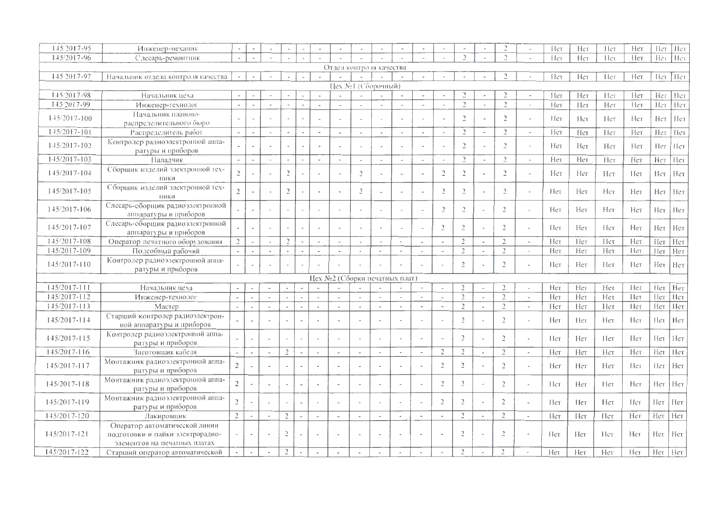| 145 2017-95      | Инженер-механик                                                                                   |                          |                          |                          |                          |                          |                          |                               |                          |                          |                |                          |                          |                |                          |                |                          | Het | Her | Hет | Her        | Her | Her             |
|------------------|---------------------------------------------------------------------------------------------------|--------------------------|--------------------------|--------------------------|--------------------------|--------------------------|--------------------------|-------------------------------|--------------------------|--------------------------|----------------|--------------------------|--------------------------|----------------|--------------------------|----------------|--------------------------|-----|-----|-----|------------|-----|-----------------|
| 145/2017-96      | Слесарь-ремонтник                                                                                 |                          |                          |                          |                          |                          |                          |                               |                          |                          |                |                          |                          | $\overline{2}$ | $\sim$                   | $\gamma$       | $\sim$                   | Hет | Нет | Her | Нет        |     | Her Her         |
|                  |                                                                                                   |                          |                          |                          |                          |                          |                          | Отдел контроля качества       |                          |                          |                |                          |                          |                |                          |                |                          |     |     |     |            |     |                 |
| 145/2017-97      | Начальник отдела контроля качества                                                                | $\overline{\phantom{a}}$ |                          |                          |                          |                          |                          |                               |                          |                          |                | $\overline{\phantom{a}}$ |                          |                |                          | $\gamma$       |                          | Her | Her | Hег | Her        |     | Her Her         |
|                  |                                                                                                   |                          |                          |                          |                          |                          |                          |                               |                          | Цех №1 (Сборочный)       |                |                          |                          |                |                          |                |                          |     |     |     |            |     |                 |
| 145/2017-98      | Начальник цеха                                                                                    |                          |                          |                          |                          |                          | $\overline{\phantom{a}}$ |                               | $\sim$                   |                          |                | $\overline{\phantom{a}}$ | $\overline{\phantom{a}}$ | $\overline{c}$ |                          |                |                          | Her | Нет | Her | Hет        | Нет | Het             |
| 145/2017-99      | Инженер-технолог                                                                                  | $\mathcal{L}$            |                          |                          |                          |                          |                          |                               | $\sim$                   |                          |                | $\sim$                   | $\overline{\phantom{a}}$ | $\overline{a}$ | $\overline{\phantom{a}}$ | $\gamma$       |                          | Нет | Her | Нет | Her        | Her | Нет             |
| $145/2017 - 100$ | Начальник планово-<br>распределительного бюро                                                     |                          |                          |                          |                          |                          |                          |                               | $\overline{\phantom{a}}$ |                          |                | $\sim$                   |                          | $\overline{2}$ | $\overline{\phantom{a}}$ | $\overline{2}$ |                          | Her | Нет | Her | Her        | Нет | Her             |
| $145/2017 - 101$ | Распределитель работ                                                                              | $\overline{\phantom{a}}$ | $\overline{a}$           |                          |                          |                          | $\tilde{\phantom{a}}$    |                               | $\sim$                   |                          | $\bullet$      | $\sim$                   | $\overline{\phantom{a}}$ | $\mathcal{L}$  | $\sim$                   | $\mathcal{L}$  | $\overline{a}$           | Нет | Нет | Нет | Нет        | Her | Her             |
| 145/2017-102     | Контролер радиоэлектронной аппа-<br>ратуры и приборов-                                            |                          |                          |                          |                          |                          | $\sim$                   |                               | $\sim$                   |                          |                | $\sim$                   |                          | $\overline{2}$ |                          | $\mathcal{L}$  |                          | Hет | Нет | Нет | Нет        | Нет | Нет             |
| 145/2017-103     | Наладчик                                                                                          |                          | $\overline{\phantom{a}}$ |                          |                          |                          | $\sim$                   |                               | $\overline{\phantom{a}}$ |                          | $\overline{a}$ | $\sim$                   | L.                       | $\overline{a}$ | $\sim$                   | $\overline{2}$ |                          | Her | Нет | Her | Нет        | Her | Her             |
| $145/2017 - 104$ | Сборщик изделий электронной тех-<br>ники                                                          | $\overline{2}$           |                          |                          | $\overline{2}$           |                          | $\sim$                   |                               | $\overline{2}$           |                          |                |                          | $\overline{2}$           | $\overline{2}$ |                          | $\overline{c}$ |                          | Нет | Her | Нет | Her        | Нет | Het             |
| 145/2017-105     | Сборщик изделий электронной тех-<br>НИКИ                                                          | $\overline{2}$           |                          |                          | $\sqrt{2}$               |                          |                          |                               | $\overline{C}$           |                          |                |                          | $\overline{2}$           | $\overline{2}$ |                          | $\overline{2}$ |                          | Нет | Нет | Нет | Нет        | Нет | Her             |
| 145/2017-106     | Слесарь-сборщик радиоэлектронной<br>аннаратуры и приборов                                         |                          |                          |                          |                          |                          | ٠                        |                               | u.                       |                          | $\sim$         | $\overline{\phantom{a}}$ | $\overline{2}$           | $\overline{2}$ |                          | $\overline{2}$ |                          | Нет | Нет | Нет | Нет        | Her | He <sub>T</sub> |
| 145/2017-107     | Слесарь-сборщик радиоэлектронной<br>аппаратуры и приборов                                         |                          |                          |                          |                          |                          |                          |                               | $\blacksquare$           |                          |                | $\sim$                   | $\overline{2}$           | $\overline{2}$ | $\overline{\phantom{a}}$ | $\overline{2}$ |                          | Hет | Нет | Нет | Нет        | Her | Her             |
| 145/2017-108     | Оператор печатного оборудования                                                                   | $\overline{c}$           |                          |                          | $\overline{2}$           | $\sim$                   | $\overline{\phantom{a}}$ | $\sim$                        | $\sim$                   | $\sim$                   |                | $\sim$                   | $\overline{\phantom{a}}$ | $\overline{2}$ | $\overline{\phantom{a}}$ | $\overline{2}$ | ÷.                       | Her | Her | Her | Her        | Нет | Нет             |
| $145/2017 - 109$ | Подсобный рабочий                                                                                 |                          |                          | $\sim$                   | $\sim$                   | ÷.                       | $\sim$                   | $\overline{a}$                | $\sim$                   | $\overline{a}$           | $\sim$         | $\sim$                   | $\overline{\phantom{a}}$ | $\overline{2}$ | $\sim$                   | $\overline{2}$ | $\bar{a}$                | Нет | Нет | Нет | Her        | Her | Her             |
| $145/2017 - 110$ | Контролер радиоэлектронной аппа-<br>ратуры и приборов                                             |                          |                          |                          | $\sim$                   |                          |                          |                               |                          |                          |                |                          |                          | $\overline{2}$ | $\tilde{\phantom{a}}$    | $\overline{2}$ |                          | Her | Нет | Her | Нет        | Hет | Нет             |
|                  |                                                                                                   |                          |                          |                          |                          |                          |                          | Цех №2 (Сборки печатных плат) |                          |                          |                |                          |                          |                |                          |                |                          |     |     |     |            |     |                 |
| $145/2017 - 111$ | Начальник цеха                                                                                    |                          |                          |                          |                          |                          |                          |                               |                          |                          |                |                          |                          | $\gamma$       |                          | $\mathcal{D}$  | ÷                        | Нет | Her | Нет | Hет        | Hет | Нет             |
| $145/2017 - 112$ | Инженер-технолог                                                                                  | $\sim$                   | $\tilde{\phantom{a}}$    | $\blacksquare$           |                          |                          | $\overline{\phantom{a}}$ |                               | $\overline{\phantom{a}}$ |                          |                | $\overline{\phantom{a}}$ | $\overline{\phantom{a}}$ | $\overline{2}$ | $\sim$                   | $\overline{2}$ | $\sim$                   | Her | Нет | Her | <b>Нет</b> | Her | Her-            |
| 145/2017-113     | Мастер                                                                                            |                          | $\sim$                   | ÷                        |                          |                          | $\sim$                   | ÷                             | $\overline{\phantom{a}}$ | $\overline{\phantom{a}}$ | ٠              | $\bar{a}$                | $\sim$                   | $\overline{2}$ | ÷.                       | $\overline{2}$ | $\sim$                   | Her | Нет | Нет | Her        | Нет | Her             |
| $145/2017 - 114$ | Старший контролер радиоэлектрон-<br>ной аппаратуры и приборов                                     |                          | $\sim$                   |                          |                          | $\sim$                   |                          |                               | $\sim$                   | i,                       |                |                          |                          | $\overline{2}$ |                          | $\overline{2}$ |                          | Her | Her | Нет | Her        | Hет | Her             |
| 145/2017-115     | Контролер радиоэлектронной аппа-<br>ратуры и приборов                                             |                          |                          |                          |                          |                          | $\sim$                   |                               | $\sim$                   | $\overline{\phantom{a}}$ |                | $\overline{a}$           |                          | $\overline{2}$ | $\sim$                   | $\overline{2}$ | ÷                        | Нет | Нет | Пeт | Нет        |     | Her $ $ Her     |
| $145/2017 - 116$ | Заготовщик кабеля                                                                                 |                          | ٠                        | $\overline{\phantom{a}}$ | $\overline{2}$           |                          | $\sim$                   | ÷,                            | $\omega$                 | $\sim$                   |                | $\sim$                   | $\overline{2}$           | $\overline{2}$ | $\blacksquare$           | $\overline{2}$ | $\overline{\phantom{a}}$ | Her | Her | Нет | Нет        | Her | Her             |
| 145/2017-117     | Монтажник радиоэлектронной аппа-<br>ратуры и приборов                                             | $\overline{2}$           |                          |                          | $\sim$                   |                          | $\overline{\phantom{a}}$ |                               | $\overline{\phantom{a}}$ |                          |                | $\sim$                   | $\overline{2}$           | $\overline{2}$ | $\overline{\phantom{a}}$ | $\overline{c}$ | ÷,                       | Her | Her | Нет | Her        | Hет | Нет             |
| $145/2017 - 118$ | Монтажник радиоэлектронной аппа-<br>ратуры и приборов                                             | $\overline{2}$           |                          |                          | $\overline{\phantom{a}}$ | u.                       | $\overline{\phantom{a}}$ |                               | ÷.                       | ÷,                       |                | $\sim$                   | $\overline{2}$           | $\overline{2}$ |                          | $\overline{2}$ | ÷,                       | Нет | Нет | Her | Her        | Нет | Her             |
| 145/2017-119     | Монтажник радиоэлектронной аппа-<br>ратуры и приборов                                             | $\overline{2}$           |                          |                          | $\overline{\phantom{a}}$ | $\overline{\phantom{a}}$ | $\overline{\phantom{a}}$ |                               | $\overline{\phantom{a}}$ |                          |                | $\overline{\phantom{a}}$ | $\overline{2}$           | $\overline{2}$ | $\overline{\phantom{a}}$ | $\overline{2}$ |                          | Het | Her | Нет | Нет        | Нет | Her             |
| 145/2017-120     | Лакировщик                                                                                        | $\overline{2}$           | ٠                        | $\sim$                   | $\overline{2}$           | ÷.                       | $\sim$                   | $\blacksquare$                | $\sim$                   | $\overline{\phantom{a}}$ | $\sim$         | $\sim$                   |                          | $\tilde{z}$    | $\overline{\phantom{a}}$ | $\overline{2}$ | $\overline{a}$           | Нет | Нет | Her | Нет        | Her | Нет             |
| $145/2017 - 121$ | Оператор автоматической линии<br>подготовки и пайки электрорадио-<br>элементов на печатных платах |                          |                          |                          | $\overline{2}$           |                          | $\sim$                   |                               |                          |                          |                | $\overline{\phantom{a}}$ |                          | $\overline{2}$ |                          | $\overline{2}$ |                          | Нет | Her | Het | Нет        | Нет | Нет             |
| 145/2017-122     | Старший оператор автоматической                                                                   |                          | $\overline{\phantom{a}}$ |                          | $\overline{2}$           | $\overline{\phantom{a}}$ | $\overline{\phantom{a}}$ | $\sim$                        | $\sim$                   | $\overline{\phantom{a}}$ | $\sim$         | $\tilde{\phantom{a}}$    |                          | $\overline{2}$ | $\sim$                   | $\overline{c}$ |                          | Нет | Нет | Нет | Her        | Her | Her             |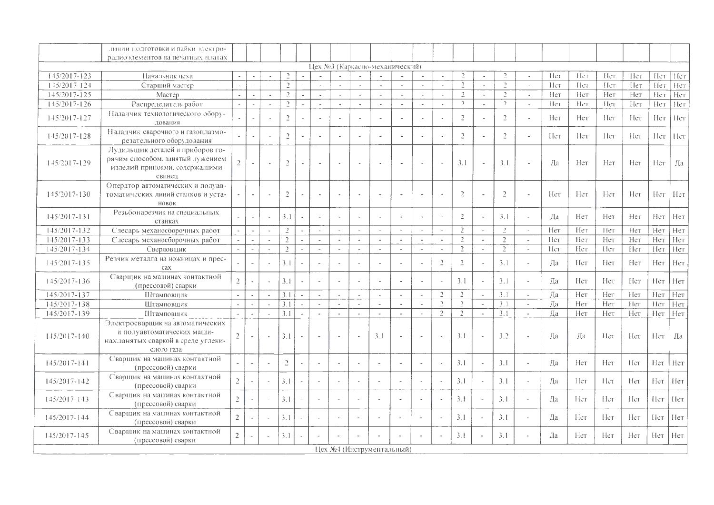|                  | линии подготовки и пайки электро-                                                                                    |                |                          |           |                  |                          |                             |                          |                |                                |                          |                          |                          |                |                          |                  |                             |     |     |     |     |      |     |
|------------------|----------------------------------------------------------------------------------------------------------------------|----------------|--------------------------|-----------|------------------|--------------------------|-----------------------------|--------------------------|----------------|--------------------------------|--------------------------|--------------------------|--------------------------|----------------|--------------------------|------------------|-----------------------------|-----|-----|-----|-----|------|-----|
|                  | радиоэлементов на печатных платах                                                                                    |                |                          |           |                  |                          |                             |                          |                |                                |                          |                          |                          |                |                          |                  |                             |     |     |     |     |      |     |
|                  |                                                                                                                      |                |                          |           |                  |                          |                             |                          |                | Цех №3 (Каркасно-механический) |                          |                          |                          |                |                          |                  |                             |     |     |     |     |      |     |
| 145/2017-123     | Начальник цеха                                                                                                       |                |                          |           | $\gamma$         |                          |                             |                          |                |                                |                          | $\Delta$                 | $\Delta$                 | $\mathcal{D}$  |                          | $\rightarrow$    | $\sim$                      | Hет | Her | Her | Her | Нет  | Her |
| 145/2017-124     | Старший мастер                                                                                                       |                |                          |           | $\overline{a}$   |                          |                             |                          |                | $\sim$                         |                          | $\omega$                 | $\omega$                 | $\overline{2}$ | ä,                       | $\overline{a}$   | $\Delta$                    | Her | Her | Her | Hет | Нет  | Her |
| 145/2017-125     | Мастер                                                                                                               | $\sim$         | $\overline{a}$           | $\alpha$  | $\overline{2}$   |                          | $\overline{a}$              | $\overline{\phantom{a}}$ | $\mathcal{L}$  | $\mathcal{L}$                  | $\sim$                   | $\mathcal{L}$            | $\mathcal{L}$            | $\overline{2}$ | $\omega$                 | $\tilde{c}$      | $\sim$                      | Her | Her | Her | Нет | Her  | Her |
| 145/2017-126     | Распределитель работ                                                                                                 | $\sim$         | ÷.                       | $\sim$    | $\tilde{c}$      |                          | $\omega$                    | $\overline{a}$           | $\sim$         | $\sim$                         | $\sim$                   | $\sim$                   | $\sim$                   | $\gamma$       | $\sim$                   | $\overline{2}$   | $\sim$                      | Нeт | Her | Her | Нет | Her  | Her |
| 145/2017-127     | Наладчик технологического обору-<br>лования                                                                          |                | $\sim$                   |           | $\overline{C}$   |                          | $\overline{\phantom{a}}$    |                          |                | $\sim$                         |                          | $\sim$                   | ÷,                       | $\overline{2}$ | $\overline{\phantom{a}}$ | $\overline{2}$   | $\sim$                      | Her | Her | Hет | Her | Her  | Her |
| $145/2017 - 128$ | Наладчик сварочного и газоплазмо-<br>резательного оборудования                                                       |                |                          |           | $\overline{2}$   |                          |                             |                          |                |                                |                          | $\sim$                   | J.                       | $\overline{2}$ |                          | $\overline{2}$   | $\sim$                      | Нет | Нет | Her | Her | Her  | Her |
| 145/2017-129     | Лудильщик деталей и приборов го-<br>рячим способом, занятый лужением<br>изделий приноями, содержащими<br>свинец      | $\overline{2}$ |                          |           | $\overline{2}$   |                          |                             |                          |                |                                |                          | i.                       | ÷.                       | 3.1            | J.                       | 3.1              | $\sim$                      | Ла  | Нет | Нет | Her | Hет  | Да  |
| 145/2017-130     | Оператор автоматических и полуав-<br>томатических линий станков и уста-<br>НОВОК                                     | $\sim$         | $\overline{\phantom{a}}$ |           | $\sqrt{2}$       | $\mathcal{L}$            | Ĭ.                          |                          |                | $\sim$                         |                          | $\overline{\phantom{a}}$ | ÷,                       | $\overline{2}$ | $\sim$                   | $\overline{2}$   | $\sim$                      | Нет | Нет | Нет | Нет | Her  | Нет |
| 145/2017-131     | Резьбонарезчик на специальных<br>станках                                                                             | $\sim$         | $\omega$                 |           | 3.1              | ÷,                       |                             |                          |                | $\sim$                         |                          | $\bar{a}$                |                          | $\overline{2}$ | $\sim$                   | 3.1              | $\sim$                      | Да  | Нет | Her | Нет | Her- | Нет |
| 145/2017-132     | Слесарь механосборочных работ                                                                                        | $\sim$         | $\sim$                   |           | $\overline{2}$   | $\overline{a}$           | $\sim$                      |                          | $\sim$         | $\sim$                         |                          | $\overline{a}$           | $\sim$                   | $\overline{2}$ | $\sim$                   | $\overline{2}$   | $\sim$                      | Her | Her | Her | Her | Нет  | Нет |
| 145/2017-133     | Слесарь механосборочных работ                                                                                        | $\sim$         |                          |           | $\overline{2}$   |                          | $\sim$                      |                          | $\mathbf{r}$   | $\sim$                         |                          | $\omega$                 | $\sim$                   | $\overline{2}$ | $\omega$                 | $\overline{2}$   | $\sim$                      | Her | Her | Her | Her | Her  | Her |
| 145/2017-134     | Сверловщик                                                                                                           | $\sim$         | $\sim$                   | $\sim$    | $\overline{2}$   | $\sim$                   | $\omega$                    | $\sim$                   | $\sim$         | $\sim$                         | $\overline{\phantom{a}}$ | $\sim$                   | $\sim$                   | $\overline{2}$ | $\omega$                 | $\overline{2}$   | $\sim$                      | Her | Her | Her | Her | Нет  | Her |
| 145/2017-135     | Резчик металла на ножницах и прес-<br>cax                                                                            |                | $\overline{a}$           |           | 3.1              | $\sim$                   | $\sim$                      |                          |                | $\sim$                         |                          | $\sim$                   | $\overline{2}$           | $\overline{2}$ | $\sim$                   | 3.1              | $\sim$                      | Ла  | Her | Her | Her | Her  | Нет |
| $145/2017 - 136$ | Сварщик на машинах контактной<br>(прессовой) сварки                                                                  | $\overline{2}$ |                          |           | 3.1              | $\ddot{\phantom{1}}$     | $\overline{\phantom{a}}$    | $\sim$                   | ÷.             | $\omega$                       |                          | $\sim$                   | $\sim$                   | 3.1            | $\sim$                   | 3.1              | $\sim$                      | Да  | Нет | Нет | Нет | Her  | Her |
| 145/2017-137     | Штамповщик                                                                                                           | $\overline{a}$ |                          |           | 3.1              | $\sim$                   | $\bar{a}$                   | $\overline{a}$           |                | $\sim$                         |                          |                          | $\overline{2}$           | $\overline{2}$ |                          | 3.1              | $\sim$                      | Да  | Нет | Her | Hет | Her  | Нет |
| 145/2017-138     | Штамповщик                                                                                                           | $\sim$         | $\sim$                   | $\sim$    | $\overline{3.1}$ | ÷,                       | $\mathcal{L}_{\mathcal{A}}$ | $\sim$                   | $\blacksquare$ | $\sim$                         | $\tilde{\phantom{a}}$    | $\omega$                 | $\overline{c}$           | $\overline{2}$ | $\blacksquare$           | $\overline{3.1}$ | $\sim$                      | Да  | Нет | Her | Her | Нет  | Нет |
| 145/2017-139     | Штамповшик                                                                                                           |                | ä,                       | $\ddot{}$ | 3.1              |                          | $\sim$                      | $\sim$                   | $\mathcal{L}$  | $\sim$                         | $\overline{a}$           | $\Delta$                 | $\overline{2}$           | $\overline{2}$ | $\overline{a}$           | 3.1              | $\sim$                      | Да  | Her | Нет | Her | Her  | Her |
| $145/2017 - 140$ | Электросварщик на автоматических<br>и полуавтоматических маши-<br>нах, занятых сваркой в среде углеки-<br>слого газа | $\overline{2}$ |                          |           | 3.1              | $\overline{\phantom{a}}$ | $\overline{\phantom{a}}$    | $\overline{\phantom{a}}$ |                | 3.1                            |                          |                          | $\sim$                   | 3.1            |                          | 3.2              | $\tilde{\phantom{a}}$       | Ла  | Да  | Her | Her | Нет  | Да  |
| $145/2017 - 141$ | Сварщик на машинах контактной<br>(прессовой) сварки                                                                  |                |                          |           | $\overline{c}$   |                          |                             |                          |                |                                |                          |                          | $\sim$                   | 3.1            |                          | 3.1              | $\overline{\phantom{a}}$    | Да  | Hет | Her | Her | Her  | Her |
| 145/2017-142     | Сварщик на машинах контактной<br>(прессовой) сварки                                                                  | $\overline{2}$ | ÷,                       |           | 3.1              | $\overline{\phantom{a}}$ | ÷.                          | $\sim$                   |                | $\overline{\phantom{a}}$       |                          | $\sim$                   | $\overline{\phantom{a}}$ | 3.1            |                          | 3.1              | $\omega$                    | Да  | Her | Нет | Her | Нет  | Her |
| $145/2017 - 143$ | Сварщик на машинах контактной<br>(прессовой) сварки                                                                  | $\overline{2}$ | ä,                       |           | 3.1              | $\sim$                   | $\sim$                      |                          | ÷.             | $\overline{\phantom{a}}$       |                          |                          | $\sim$                   | 3.1            |                          | 3.1              | $\mathcal{L}_{\mathcal{A}}$ | Да  | Нет | Her | Her | Her  | Her |
| $145/2017 - 144$ | Сварщик на машинах контактной<br>(прессовой) сварки                                                                  | $\overline{2}$ | ÷.                       |           | 3.1              | ÷.                       | $\sim$                      |                          |                | $\overline{a}$                 | ٠                        |                          | $\overline{\phantom{a}}$ | 3.1            |                          | 3.1              | $\ddot{\phantom{a}}$        | Да  | Her | Her | Her | Her  | Нет |
| 145/2017-145     | Сварщик на машинах контактной<br>(прессовой) сварки                                                                  | $2^{\circ}$    |                          |           | 3.1              |                          |                             |                          |                |                                |                          |                          |                          | 3.1            |                          | 3.1              |                             | Ла  | Her | Нет | Her | Her  | Нет |
|                  | Цех №4 (Инструментальный)                                                                                            |                |                          |           |                  |                          |                             |                          |                |                                |                          |                          |                          |                |                          |                  |                             |     |     |     |     |      |     |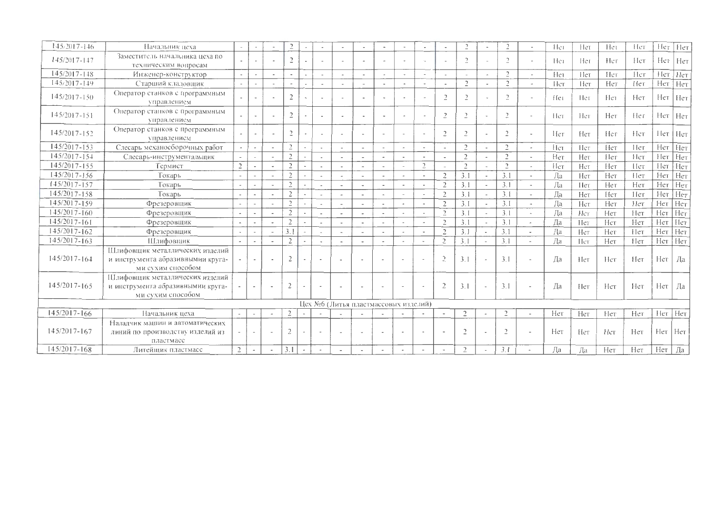| $145/2017 - 146$ | Начальник цеха                                                                            |                          |                          |                          |                          |                          |                          |                          |                          |                                      |                          |                          |                          |                |                          |                          |                          | He1             | Hет  | Het | Her  | Hет           | [Heт |
|------------------|-------------------------------------------------------------------------------------------|--------------------------|--------------------------|--------------------------|--------------------------|--------------------------|--------------------------|--------------------------|--------------------------|--------------------------------------|--------------------------|--------------------------|--------------------------|----------------|--------------------------|--------------------------|--------------------------|-----------------|------|-----|------|---------------|------|
| 145/2017-147     | Заместитель начальника цеха по<br>техническим вопросам                                    |                          |                          |                          | $\overline{2}$           | $\overline{\phantom{a}}$ |                          |                          | $\blacksquare$           |                                      |                          | $\blacksquare$           |                          | $\overline{2}$ |                          | $\overline{\phantom{a}}$ | $\blacksquare$           | Hei             | He1  | Нeг | Hет  | Her           | Her  |
| $145/2017 - 148$ | Инженер-конструктор                                                                       | $\rightarrow$            |                          | $\overline{\phantom{a}}$ |                          |                          |                          |                          |                          |                                      |                          | $\overline{a}$           |                          |                | $\overline{\phantom{a}}$ | $\overline{c}$           |                          | Her             | He   | Нeт | Her  | Her           | Hет  |
| $145/2017 - 149$ | Старший кладовщик                                                                         | $\overline{\phantom{a}}$ | $\overline{\phantom{a}}$ |                          | $\overline{\phantom{a}}$ | $\overline{\phantom{a}}$ | $\overline{\phantom{a}}$ |                          | $\sim$                   |                                      | $\overline{\phantom{a}}$ | $\sim$                   | $\overline{\phantom{a}}$ | $\overline{2}$ | $\overline{\phantom{a}}$ | $\mathcal{D}$            | $\bar{a}$                | Нeт             | Hет  | Нет | Her  | Нет           | Нет  |
| $145/2017 - 150$ | Оператор станков с программным<br>управлением                                             |                          | $\overline{\phantom{a}}$ |                          | $\overline{2}$           |                          |                          |                          |                          |                                      |                          | $\mathbf{r}$             | $\overline{2}$           | $\overline{2}$ |                          | $\mathcal{D}$            | $\overline{a}$           | He <sub>1</sub> | -Her | Hет | Her  | Her           | Her  |
| $145/2017 - 151$ | Оператор станков с программным<br>управлением                                             |                          | $\overline{\phantom{a}}$ |                          | $\overline{2}$           |                          |                          |                          | $\tilde{\phantom{a}}$    |                                      |                          | $\tilde{\phantom{a}}$    | $\overline{2}$           | $\overline{a}$ |                          | $\overline{2}$           | $\overline{a}$           | Her             | Her  | Нет | Her  | Her           | Нет  |
| $145/2017 - 152$ | Оператор станков с программным<br>управлением                                             |                          | $\sim$                   |                          | $\overline{c}$           |                          | $\overline{\phantom{a}}$ |                          | $\overline{\phantom{a}}$ |                                      |                          | $\sim$                   | $\overline{2}$           | $\overline{2}$ |                          | $\overline{2}$           | $\overline{\phantom{a}}$ | Her             | Нет  | Her | Her  | Нeт           | Her  |
| $145/2017 - 153$ | Слесарь механосборочных работ                                                             | $\sim$                   | $\sim$                   |                          | $\overline{2}$           |                          | $\sim$                   |                          | $\overline{a}$           |                                      | $\overline{a}$           | $\overline{\phantom{a}}$ |                          | $\overline{2}$ | $\overline{\phantom{a}}$ | $\overline{2}$           | $\overline{a}$           | Her             | Her  | Her | 11er | Нет           | Нет  |
| $145/2017 - 154$ | Слесарь-инструментальщик                                                                  |                          |                          |                          | $\overline{2}$           |                          | $\ddot{\phantom{a}}$     |                          | $\overline{\phantom{a}}$ |                                      |                          | $\overline{a}$           |                          | $\mathfrak{2}$ |                          | $\overline{2}$           | $\blacksquare$           | Нет             | Нет  | Her | Her  | Her           | Нет  |
| 145/2017-155     | Термист                                                                                   | $\sqrt{2}$               |                          |                          | $\overline{2}$           |                          | $\overline{\phantom{a}}$ |                          | $\overline{a}$           |                                      |                          | $\overline{2}$           |                          | $\overline{c}$ |                          | $\gamma$                 | $\overline{\phantom{a}}$ | Her             | Her  | Нет | Her  | Нeт           | Her  |
| $145/2017 - 156$ | Токарь                                                                                    | $\sim$                   |                          |                          | $\overline{2}$           |                          | $\overline{\phantom{a}}$ |                          |                          |                                      |                          |                          | $\overline{2}$           | 3.1            |                          | 3.1                      |                          | Да              | Нет  | Нет | Her  | Нет           | Her  |
| 145/2017-157     | Токарь                                                                                    | $\sim$                   | $\sim$                   |                          | $\overline{2}$           |                          | $\overline{\phantom{a}}$ |                          | $\blacksquare$           | $\overline{\phantom{a}}$             |                          | $\sim$                   | 2                        | 3.1            | $\overline{\phantom{a}}$ | 3.1                      | $\tilde{\phantom{a}}$    | Ла              | 11er | Нет | Нет  | Her           | Her  |
| 145/2017-158     | Токарь                                                                                    |                          | $\sim$                   |                          | $\overline{2}$           |                          | i.                       |                          |                          |                                      |                          |                          | $\overline{2}$           | 3.1            |                          | 3.1                      | $\overline{\phantom{a}}$ | Да              | Нет  | Her | Her  | Нет           | Нет  |
| $145/2017 - 159$ | Фрезеровщик                                                                               |                          |                          |                          | $\overline{c}$           |                          |                          |                          | $\sim$                   | $\overline{\phantom{a}}$             |                          | $\sim$                   | $\overline{2}$           | 3.1            |                          | 3.1                      | $\tilde{\phantom{a}}$    | Да              | Нет  | Нет | He   | Нет           | Her  |
| $145/2017 - 160$ | Фрезеровщик                                                                               |                          |                          |                          | $\overline{2}$           |                          | $\sim$                   |                          | $\sim$                   |                                      |                          | $\overline{\phantom{a}}$ | $\overline{2}$           | 3.1            |                          | 3.1                      | $\mathbf{a}$             | Да              | Her  | Her | Нет  | Нет           | Нет  |
| $145/2017 - 161$ | Фрезеровщик                                                                               |                          |                          |                          | $\overline{2}$           |                          | $\overline{\phantom{a}}$ |                          | $\overline{\phantom{a}}$ | $\overline{\phantom{a}}$             |                          | $\sim$                   | $\overline{2}$           | 3.1            |                          | 3.1                      | $\overline{\phantom{a}}$ | Да              | Het  | Нет | Нет  | Нет           | Нет  |
| $145/2017 - 162$ | Фрезеровщик                                                                               | $\sim$                   | $\sim$                   |                          | 3.1                      |                          | $\sim$                   |                          |                          |                                      |                          | $\sim$                   | $\overline{2}$           | 3.1            | ÷.                       | 3.1                      | $\overline{a}$           | Да              | Her  | Нет | Her  | Нет           | Нет  |
| 145/2017-163     | ІЦлифовіцик                                                                               |                          | $\overline{\phantom{a}}$ |                          | $\overline{2}$           |                          | $\overline{\phantom{a}}$ |                          |                          |                                      |                          | $\overline{\phantom{a}}$ | $\overline{2}$           | 3.1            | $\overline{\phantom{a}}$ | 3.1                      | $\overline{\phantom{a}}$ | Да              | Het  | Нет | Her  | Her           | Нет  |
| $145/2017 - 164$ | Шлифовщик металлических изделий<br>и инструмента абразивнымии круга-<br>ми сухим способом |                          | $\overline{\phantom{a}}$ |                          | $\overline{2}$           |                          |                          |                          |                          |                                      |                          |                          | $\overline{2}$           | 3.1            | $\overline{a}$           | 3.1                      |                          | Да              | Her  | Her | Her  | Нет           | Да   |
| $145/2017 - 165$ | Шлифовщик металлических изделий<br>и инструмента абразивнымии круга-<br>ми сухим способом |                          | $\sim$                   |                          | $\overline{2}$           |                          |                          | $\overline{\phantom{a}}$ |                          |                                      |                          |                          | $\overline{2}$           | 3.1            | $\sim$                   | 3.1                      |                          | Да              | Her  | Нет | Нет  | Нет           | Да   |
|                  |                                                                                           |                          |                          |                          |                          |                          |                          |                          |                          | Цех №6 (Литья пластмассовых изделий) |                          |                          |                          |                |                          |                          |                          |                 |      |     |      |               |      |
| $145/2017 - 166$ | Начальник цеха                                                                            | $\sim$                   | $\overline{\phantom{a}}$ |                          | $\overline{2}$           |                          |                          |                          |                          |                                      |                          |                          | $\overline{\phantom{a}}$ | $\overline{c}$ |                          | $\overline{2}$           | $\overline{\phantom{a}}$ | Нет             | Her  | Her | Нет  | Her Her       |      |
| $145/2017 - 167$ | Наладчик машин и автоматических<br>линий по производству изделий из<br>пластмасс          |                          | $\overline{\phantom{a}}$ |                          | $\overline{2}$           |                          | $\sim$                   | $\overline{\phantom{a}}$ | $\overline{\phantom{a}}$ | $\overline{\phantom{a}}$             |                          |                          | $\overline{\phantom{a}}$ | $\mathcal{D}$  | ٠                        | $\overline{2}$           | $\overline{\phantom{a}}$ | Нет             | Her  | Het | Нет  | $Her$   $Her$ |      |
| $145/2017 - 168$ | Литейщик пластмасс                                                                        | $\overline{2}$           | $\overline{\phantom{a}}$ |                          | 3.1                      | $\overline{\phantom{a}}$ | $\Delta$                 |                          |                          | $\overline{\phantom{a}}$             |                          |                          | $\overline{\phantom{a}}$ | 2              |                          | 3.1                      |                          | Да              | Да   | Нет | Her  | Her           | Да   |